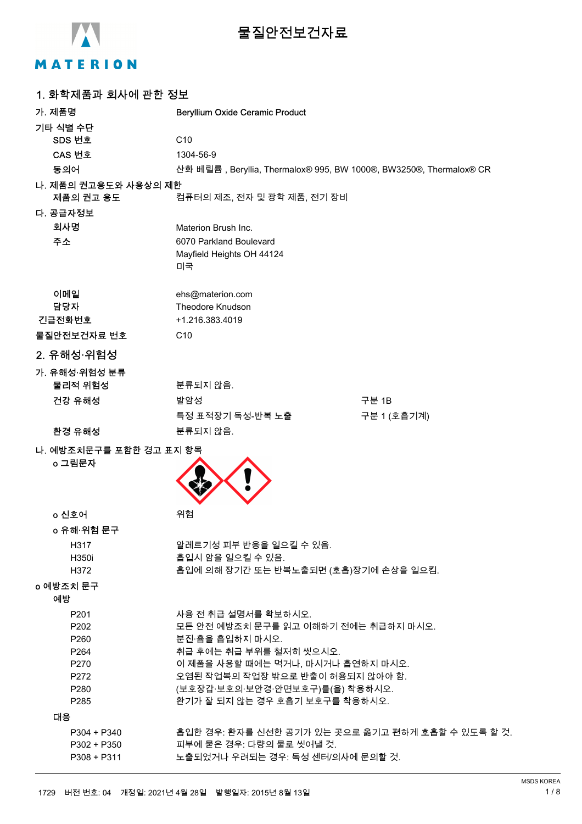

# **물질안전보건자료**

# MATERION

| 1. 화학제품과 회사에 관한 정보                |                                                                     |             |
|-----------------------------------|---------------------------------------------------------------------|-------------|
| 가. 제품명                            | <b>Beryllium Oxide Ceramic Product</b>                              |             |
| 기타 식별 수단                          |                                                                     |             |
| SDS 번호                            | C <sub>10</sub>                                                     |             |
| CAS 번호                            | 1304-56-9                                                           |             |
| 동의어                               | 산화 베릴륨 , Beryllia, Thermalox® 995, BW 1000®, BW3250®, Thermalox® CR |             |
| 나. 제품의 권고용도와 사용상의 제한              |                                                                     |             |
| 제품의 권고 용도                         | 컴퓨터의 제조, 전자 및 광학 제품, 전기 장비                                          |             |
| 다. 공급자정보                          |                                                                     |             |
| 회사명                               | Materion Brush Inc.                                                 |             |
| 주소                                | 6070 Parkland Boulevard                                             |             |
|                                   | Mayfield Heights OH 44124<br>미국                                     |             |
| 이메일                               | ehs@materion.com                                                    |             |
| 담당자                               | Theodore Knudson                                                    |             |
| 긴급전화번호                            | +1.216.383.4019                                                     |             |
| 물질안전보건자료 번호                       | C <sub>10</sub>                                                     |             |
| 2. 유해성·위험성                        |                                                                     |             |
| 가. 유해성·위험성 분류                     |                                                                     |             |
| 물리적 위험성                           | 분류되지 않음.                                                            |             |
| 건강 유해성                            | 발암성                                                                 | 구분 1B       |
|                                   | 특정 표적장기 독성-반복 노출                                                    | 구분 1 (호흡기계) |
| 환경 유해성                            | 분류되지 않음.                                                            |             |
| 나. 예방조치문구를 포함한 경고 표지 항목<br>o 그림문자 |                                                                     |             |
| o 신호어                             | 위험                                                                  |             |
| o 유해·위험 문구                        |                                                                     |             |
| H317                              | 알레르기성 피부 반응을 일으킬 수 있음.                                              |             |
| H350i                             | 흡입시 암을 일으킬 수 있음.                                                    |             |
| H372                              | 흡입에 의해 장기간 또는 반복노출되면 (호흡)장기에 손상을 일으킴.                               |             |
| o 예방조치 문구                         |                                                                     |             |
| 예방                                |                                                                     |             |
| P201                              | 사용 전 취급 설명서를 확보하시오.                                                 |             |
| P202                              | 모든 안전 예방조치 문구를 읽고 이해하기 전에는 취급하지 마시오.                                |             |
| P <sub>260</sub>                  | 분진·흄을 흡입하지 마시오.                                                     |             |
| P <sub>264</sub><br>P270          | 취급 후에는 취급 부위를 철저히 씻으시오.<br>이 제품을 사용할 때에는 먹거나, 마시거나 흡연하지 마시오.        |             |
| P272                              | 오염된 작업복의 작업장 밖으로 반출이 허용되지 않아야 함.                                    |             |
| P280                              | (보호장갑·보호의·보안경·안면보호구)를(을) 착용하시오.                                     |             |
| P <sub>285</sub>                  | 환기가 잘 되지 않는 경우 호흡기 보호구를 착용하시오.                                      |             |
| 대응                                |                                                                     |             |
| $P304 + P340$                     | 흡입한 경우: 환자를 신선한 공기가 있는 곳으로 옮기고 편하게 호흡할 수 있도록 할 것.                   |             |
| $P302 + P350$                     | 피부에 묻은 경우: 다량의 물로 씻어낼 것.                                            |             |
| P308 + P311                       | 노출되었거나 우려되는 경우: 독성 센터/의사에 문의할 것.                                    |             |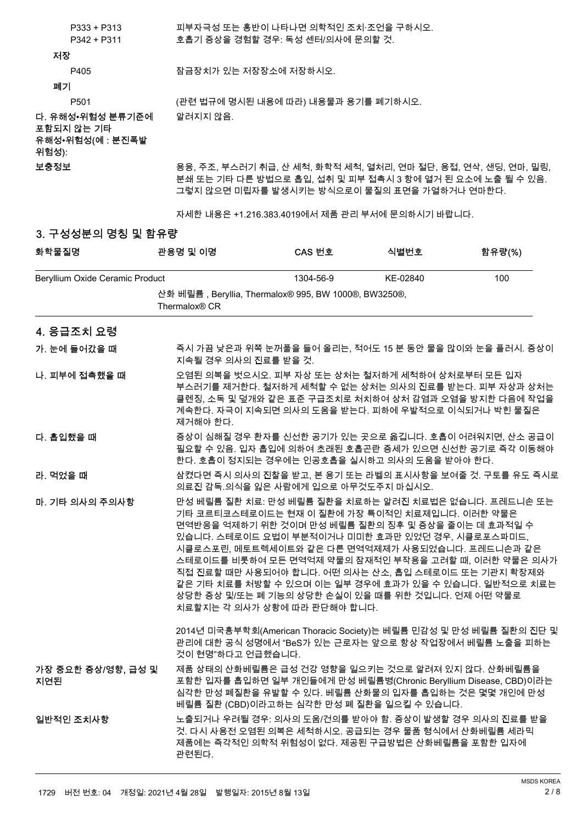| Renyllium Ovide Ceramic Product         |                       | $1304 - 56 - 9$                                                                                                                                                             | KE <sub>-</sub> 02840 | 1 በበ   |
|-----------------------------------------|-----------------------|-----------------------------------------------------------------------------------------------------------------------------------------------------------------------------|-----------------------|--------|
| 화학물질명                                   | 관용명 및 이명              | CAS 번호                                                                                                                                                                      | 식별번호                  | 함유량(%) |
| 3. 구성성분의 명칭 및 함유량                       |                       |                                                                                                                                                                             |                       |        |
|                                         |                       | 자세한 내용은 +1.216.383.4019에서 제품 관리 부서에 문의하시기 바랍니다.                                                                                                                             |                       |        |
| 보충정보                                    |                       | 용융, 주조, 부스러기 취급, 산 세척, 화학적 세척, 열처리, 연마 절단, 용접, 연삭, 샌딩, 연마, 밀링,<br>분쇄 또는 기타 다른 방법으로 흡입, 섭취 및 피부 접촉시 3 항에 열거 된 요소에 노출 될 수 있음.<br>그렇지 않으면 미립자를 발생시키는 방식으로이 물질의 표면을 가열하거나 연마한다. |                       |        |
| 포함되지 않는 기타<br>유해성•위험성(예 : 분진폭발<br>위험성): |                       |                                                                                                                                                                             |                       |        |
| 다. 유해성•위험성 분류기준에                        | 알려지지 않음.              |                                                                                                                                                                             |                       |        |
| P <sub>501</sub>                        |                       | (관련 법규에 명시된 내용에 따라) 내용물과 용기를 폐기하시오.                                                                                                                                         |                       |        |
| 폐기                                      |                       |                                                                                                                                                                             |                       |        |
| P405                                    | 잠금장치가 있는 저장장소에 저장하시오. |                                                                                                                                                                             |                       |        |
| 저장                                      |                       |                                                                                                                                                                             |                       |        |
| P342 + P311                             |                       | 호흡기 증상을 경험할 경우: 독성 센터/의사에 문의할 것.                                                                                                                                            |                       |        |
| $P333 + P313$                           |                       | 피부자극성 또는 홍반이 나타나면 의학적인 조치·조언을 구하시오.                                                                                                                                         |                       |        |

| Beryllium Oxide Ceramic Product |                                                                                   | 1304-56-9                                                                                                                                                                                                                                                                                                                                                  | KE-02840 | 100                                                                                                                                                                     |
|---------------------------------|-----------------------------------------------------------------------------------|------------------------------------------------------------------------------------------------------------------------------------------------------------------------------------------------------------------------------------------------------------------------------------------------------------------------------------------------------------|----------|-------------------------------------------------------------------------------------------------------------------------------------------------------------------------|
|                                 | 산화 베릴륨, Beryllia, Thermalox® 995, BW 1000®, BW3250®,<br>Thermalox <sup>®</sup> CR |                                                                                                                                                                                                                                                                                                                                                            |          |                                                                                                                                                                         |
| 4. 응급조치 요령                      |                                                                                   |                                                                                                                                                                                                                                                                                                                                                            |          |                                                                                                                                                                         |
| 가. 눈에 들어갔을 때                    | 지속될 경우 의사의 진료를 받을 것.                                                              |                                                                                                                                                                                                                                                                                                                                                            |          | 즉시 가끔 낮은과 위쪽 눈꺼풀을 들어 올리는, 적어도 15 분 동안 물을 많이와 눈을 플러시. 증상이                                                                                                                |
| 나. 피부에 접촉했을 때                   | 제거해야 한다.                                                                          | 오염된 의복을 벗으시오. 피부 자상 또는 상처는 철저하게 세척하여 상처로부터 모든 입자<br>계속한다. 자극이 지속되면 의사의 도움을 받는다. 피하에 우발적으로 이식되거나 박힌 물질은                                                                                                                                                                                                                                                     |          | 부스러기를 제거한다. 철저하게 세척할 수 없는 상처는 의사의 진료를 받는다. 피부 자상과 상처는<br>클렌징, 소독 및 덮개와 같은 표준 구급조치로 처치하여 상처 감염과 오염을 방지한 다음에 작업을                                                          |
| 다. 흡입했을 때                       |                                                                                   | 한다. 호흡이 정지되는 경우에는 인공호흡을 실시하고 의사의 도움을 받아야 한다.                                                                                                                                                                                                                                                                                                               |          | 증상이 심해질 경우 환자를 신선한 공기가 있는 곳으로 옮깁니다. 호흡이 어려워지면, 산소 공급이<br>필요할 수 있음. 입자 흡입에 의하여 초래된 호흡곤란 증세가 있으면 신선한 공기로 즉각 이동해야                                                          |
| 라. 먹었을 때                        |                                                                                   | 의료진 감독 의식을 잃은 사람에게 입으로 아무것도주지 마십시오.                                                                                                                                                                                                                                                                                                                        |          | 삼켰다면 즉시 의사의 진찰을 받고, 본 용기 또는 라벨의 표시사항을 보여줄 것. 구토를 유도 즉시로                                                                                                                 |
| 마. 기타 의사의 주의사항                  |                                                                                   | 기타 코르티코스테로이드는 현재 이 질환에 가장 특이적인 치료제입니다. 이러한 약물은<br>면역반응을 억제하기 위한 것이며 만성 베릴륨 질환의 징후 및 증상을 줄이는 데 효과적일 수<br>있습니다. 스테로이드 요법이 부분적이거나 미미한 효과만 있었던 경우, 시클로포스파미드,<br>시클로스포린, 메토트렉세이트와 같은 다른 면역억제제가 사용되었습니다. 프레드니손과 같은<br>직접 진료할 때만 사용되어야 합니다. 어떤 의사는 산소, 흡입 스테로이드 또는 기관지 확장제와<br>상당한 증상 및/또는 폐 기능의 상당한 손실이 있을 때를 위한 것입니다. 언제 어떤 약물로<br>치료할지는 각 의사가 상황에 따라 판단해야 합니다. |          | 만성 베릴륨 질환 치료: 만성 베릴륨 질환을 치료하는 알려진 치료법은 없습니다. 프레드니손 또는<br>스테로이드를 비롯하여 모든 면역억제 약물의 잠재적인 부작용을 고려할 때, 이러한 약물은 의사가<br>같은 기타 치료를 처방할 수 있으며 이는 일부 경우에 효과가 있을 수 있습니다. 일반적으로 치료는 |
|                                 | 것이 현명"하다고 언급했습니다.                                                                 |                                                                                                                                                                                                                                                                                                                                                            |          | 2014년 미국흉부학회(American Thoracic Society)는 베릴륨 민감성 및 만성 베릴륨 질환의 진단 및<br>관리에 대한 공식 성명에서 "BeS가 있는 근로자는 앞으로 항상 작업장에서 베릴륨 노출을 피하는                                             |
| 가장 중요한 증상/영향, 급성 및<br>지연된       |                                                                                   | 제품 상태의 산화베릴륨은 급성 건강 영향을 일으키는 것으로 알려져 있지 않다. 산화베릴륨을<br>심각한 만성 폐질환을 유발할 수 있다. 베릴륨 산화물의 입자를 흡입하는 것은 몇몇 개인에 만성<br>베릴륨 질환 (CBD)이라고하는 심각한 만성 폐 질환을 일으킬 수 있습니다.                                                                                                                                                                                                   |          | 포함한 입자를 흡입하면 일부 개인들에게 만성 베릴륨병(Chronic Beryllium Disease, CBD)이라는                                                                                                        |
| 일반적인 조치사항                       | 관련된다.                                                                             | 노출되거나 우려될 경우: 의사의 도움/건의를 받아야 함. 증상이 발생할 경우 의사의 진료를 받을<br>것. 다시 사용전 오염된 의복은 세척하시오. 공급되는 경우 물품 형식에서 산화베릴륨 세라믹<br>제품에는 즉각적인 의학적 위험성이 없다. 제공된 구급방법은 산화베릴륨을 포함한 입자에                                                                                                                                                                                             |          |                                                                                                                                                                         |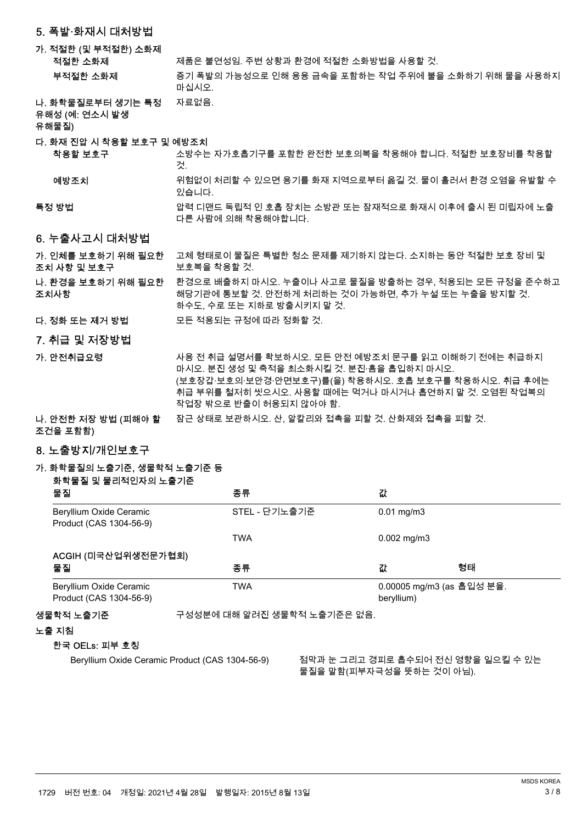### 5. 폭발·화재시 대처방**번**

### 가. 적절한 (및 부적절한) 소화제

적절한 소화제 여행 전세품은 불연성임. 주변 상황과 환경에 적절한 소화방법을 사용할 것.

- 증기 폭발의 가능성으로 인해 용융 금속을 포함하는 작업 주위에 불을 소화하기 위해 물을 사용하지 마십시오. 부적절한 소화제
- 나. 화학물질로부터 생기는 특정 자료없음.

유해성 (예: 연소시 발생

유해물질)

#### 다. 화재 진압 시 착용할 보호구 및 예방조치

소방수는 자가호흡기구를 포함한 완전한 보호의복을 착용해야 합니다. 적절한 보호장비를 착용할 阸. 착용할 보호구

위험없이 처리할 수 있으면 용기를 화재 지역으로부터 옮길 것, 물이 흘러서 환경 오염을 유발할 수 있습니다. 예방조치

#### 압력 디맨드 독립적 인 호흡 장치는 소방관 또는 잠재적으로 화재시 이후에 출시 된 미립자에 노출 다른 사람에 의해 착용해야합니다. 특정 방법

6. 누출사고시 대처방법

#### 고체 형태로이 물질은 특별한 청소 문제를 제기하지 않는다. 소지하는 동안 적절한 보호 장비 및 보호복을 착용할 것. 가. 인체를 보호하기 위해 필요한 조치 사항 및 보호구

#### 환경으로 배출하지 마시오. 누출이나 사고로 물질을 방출하는 경우, 적용되는 모든 규정을 준수하고 해당기관에 통보할 것. 안전하게 처리하는 것이 가능하면, 추가 누설 또는 누출을 방지할 것. 하수도, 수로 또는 지하로 방출시키지 말 것. 나. 환경을 보호하기 위해 필요한 조치사항

- 鲙. 뇊쀉 鿅鱉 뇑阥 ꗞꙊ ꑝ麕 놶끞鷍鱉 鞑뇊꾅 黥ꄱ 뇊쀉뼕 阸.
- 7. 취급 및 저장방법
- 샤용 전 취급 설명서를 확보하시오. 모든 안전 예방조치 문구를 읽고 이해하기 전에는 취급하지 <u>마시오. 분진 생성 및 축적을 최소화시킬 것. 분진 흉을 흡입하지 마시오.</u> (보호장갑·보호의·보안경·안면보호구)를(을) 착용하시오. 호흡 보호구를 착용하시오. 취급 후에는 취급 부위를 철저히 씻으시오. 사용할 때에는 먹거나 마시거나 흡연하지 말 것. 오염된 작업복의 작업장 밖으로 반출이 허용되지 않아야 함. 가. 안전취급요령 나. 안전한 저장 방법 (피해야 할 참근 상태로 보관하시오. 산, 알칼리와 접촉을 피할 것. 산화제와 접촉을 피할 것.

# 조건을 포함함)

## 8. 노출방지/개인보호구

# 가. 화학물질의 노출기준, 생물학적 노출기준 등

화학물질 및 물리적인자의 노출기준

| 물질                                                 | 종류                          | 값                       |                                           |  |
|----------------------------------------------------|-----------------------------|-------------------------|-------------------------------------------|--|
| Beryllium Oxide Ceramic<br>Product (CAS 1304-56-9) | STEL - 단기노출기준               | $0.01 \,\mathrm{mg/m3}$ |                                           |  |
|                                                    | <b>TWA</b>                  | $0.002$ mg/m3           |                                           |  |
| ACGIH (미국산업위생전문가협회)                                |                             |                         |                                           |  |
| 물질                                                 | 종류                          | 값                       | 형태                                        |  |
| Beryllium Oxide Ceramic<br>Product (CAS 1304-56-9) | <b>TWA</b>                  | beryllium)              | 0.00005 mg/m3 (as 흡입성 분율.                 |  |
| 생물학적 노출기준                                          | 구성성분에 대해 알려진 생물학적 노출기준은 없음. |                         |                                           |  |
| 노출 지침                                              |                             |                         |                                           |  |
| 한국 OELs: 피부 호칭                                     |                             |                         |                                           |  |
|                                                    |                             |                         | IJ T H H 그 그 그 거리고 좀 시리시 됩니 여왕 이 이야기 시 이니 |  |

Beryllium Oxide Ceramic Product (CAS 1304-56-9) 점막과 눈 그리고 경피로 흡수되어 전신 영향을 일으킬 수 있는 물질을 말함(피부자극성을 뜻하는 것이 아님).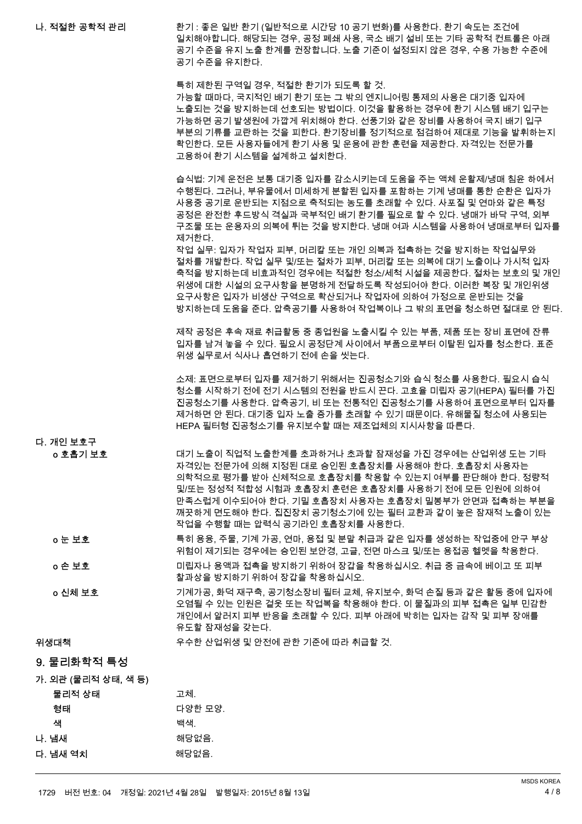환기 : 좋은 일반 환기 (일반적으로 시간당 10 공기 변화)를 사용한다. 환기 속도는 조건에 일치해야합니다. 해당되는 경우, 공정 폐쇄 사용, 국소 배기 설비 또는 기타 공학적 컨트롤은 아래 공기 수준을 유지 노출 한계를 권장합니다. 노출 기준이 설정되지 않은 경우, 수용 가능한 수준에 공기 수준을 유지한다. 나. 적절한 공학적 관리

> 특히 제한된 구역일 경우, 적절한 환기가 되도록 할 것. 가능할 때마다, 국지적인 배기 환기 또는 그 밖의 엔지니어링 통제의 사용은 대기중 입자에 노출되는 것을 방지하는데 선호되는 방법이다. 이것을 활용하는 경우에 환기 시스템 배기 입구는 가능하면 공기 발생원에 가깝게 위치해야 한다. 선풍기와 같은 장비를 사용하여 국지 배기 입구 부분의 기류를 교란하는 것을 피한다. 환기장비를 정기적으로 점검하여 제대로 기능을 발휘하는지 확인한다. 모든 사용자들에게 환기 사용 및 운용에 관한 훈련을 제공한다. 자격있는 전문가를 고용하여 환기 시스템을 설계하고 설치한다.

습식법: 기계 운전은 보통 대기중 입자를 감소시키는데 도움을 주는 액체 운활제/냉매 침윤 하에서 수행된다. 그러나, 부유물에서 미세하게 분할된 입자를 포함하는 기계 냉매를 통한 순환은 입자가 사용중 공기로 운반되는 지점으로 축적되는 농도를 초래할 수 있다. 사포질 및 연마와 같은 특정 공정은 완전한 후드방식 격실과 국부적인 배기 환기를 필요로 할 수 있다. 냉매가 바닥 구역, 외부 구조물 또는 운용자의 의복에 튀는 것을 방지한다. 냉매 여과 시스템을 사용하여 냉매로부터 입자를 제거한다.

작업 실무: 입자가 작업자 피부, 머리칼 또는 개인 의복과 접촉하는 것을 방지하는 작업실무와 절차를 개발한다. 작업 실무 및/또는 절차가 피부. 머리칼 또는 의복에 대기 노출이나 가시적 입자 축적을 방지하는데 비효과적인 경우에는 적절한 청소/세척 시설을 제공한다. 절차는 보호의 및 개인 위생에 대한 시설의 요구사항을 분명하게 전달하도록 작성되어야 한다. 이러한 복장 및 개인위생 요구사항은 입자가 비생산 구역으로 확산되거나 작업자에 의하여 가정으로 운반되는 것을 방지하는데 도움을 준다. 안축공기를 사용하여 작업복이나 그 밖의 표면을 청소하면 적대로 안 된다.

제작 공정은 후속 재료 취급활동 중 종업원을 노출시킬 수 있는 부품, 제품 또는 장비 표면에 잔류 입자를 남겨 놓을 수 있다. 필요시 공정단계 사이에서 부품으로부터 이탈된 입자를 청소한다. 표준 위생 실무로서 식사나 흡연하기 전에 손을 씻는다.

소제: 표면으로부터 입자를 제거하기 위해서는 진공청소기와 습식 청소를 사용한다. 필요시 습식 청소를 시작하기 전에 전기 시스템의 전원을 반드시 끈다. 고효율 미립자 공기(HFPA) 필터를 가진 진공청소기를 사용한다. 압축공기, 비 또는 전통적인 진공청소기를 사용하여 표면으로부터 입자를 제거하면 안 된다. 대기중 입자 노출 증가를 초래할 수 있기 때문이다. 유해물질 청소에 사용되는 HFPA 필터형 진공청소기를 유지보수할 때는 제조업체의 지시사항을 따른다.

다. 개인 보호구

대기 노출이 직언적 노출한계를 초과하거나 초과할 잠재성을 가진 경우에는 산업위생 도는 기타 자격있는 전문가에 의해 지정된 대로 승인된 호흡장치를 사용해야 한다. 호흡장치 사용자는 의학적으로 평가를 받아 신체적으로 호흡장치를 착용할 수 있는지 여부를 판단해야 한다. 정량적 및/뚜는 정성적 적합성 시험과 호흡장치 훈련은 호흡장치를 사용하기 전에 모든 인원에 의하여 만족스럽게 이수되어야 한다. 기밀 호흡장치 사용자는 호흡장치 밀봉부가 안면과 접촉하는 부분을 깨끗하게 면도해야 한다. 집진장치 공기청소기에 있는 필터 교환과 같이 높은 잠재적 노출이 있는 작업을 수행할 때는 압력식 공기라인 호흡장치를 사용한다. o 호흡기 보호

특히 용융, 주물, 기계 가공, 연마, 용접 및 분말 취급과 같은 입자를 생성하는 작업중에 안구 부상 위험이 제기되는 경우에는 승인된 보안경, 고글, 전면 마스크 및/또는 용접공 헬멧을 착용한다. o 눈 보호 미립자나 용액과 접촉을 방지하기 위하여 장갑을 착용하십시오. 취급 중 금속에 베이고 또 피부 찰과상을 방지하기 위하여 장갑을 착용하십시오. o 손 보호

기계가공, 화덕 재구축, 공기청소장비 필터 교체, 유지보수, 화덕 손질 등과 같은 활동 중에 입자에 오염될 수 있는 인원은 겉옷 또는 작업복을 착용해야 한다. 이 물질과의 피부 접촉은 일부 민감한 개인에서 알러지 피부 반응을 초래할 수 있다. 피부 아래에 박히는 입자는 감작 및 피부 장애를 유도할 잠재성을 갖는다. o 신체 보호

낹ꪒ鲵뗺 끥ꯍ뼑 ꩥ꽺낹ꪒ ꗄ 껽놹꾅 隵뼑 韥늵꾅 黥ꄱ 랝鞾뼕 阸.

## 9. 물리화학적 특성

가. 외관 (물리적 상태, 색 등)

| 물리적 상태   | 고체.     |
|----------|---------|
| 형태       | 다양한 모양. |
| 샌        | 백색.     |
| 나. 냄새    | 해당없음.   |
| 다. 냄새 역치 | 해당없음.   |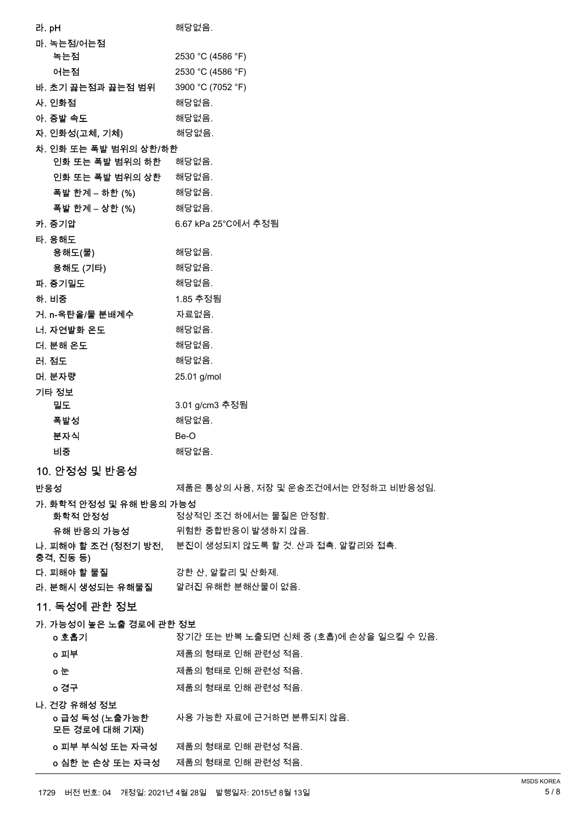| 라. pH |                                    | 해당없음.                                                  |
|-------|------------------------------------|--------------------------------------------------------|
|       | 마. 녹는점/어는점                         |                                                        |
|       | 녹는점                                | 2530 °C (4586 °F)                                      |
|       | 어는점                                | 2530 °C (4586 °F)                                      |
|       | 바. 초기 끓는점과 끓는점 범위                  | 3900 °C (7052 °F)                                      |
|       | 사. 인화점                             | 해당없음.                                                  |
|       | 아. 증발 속도                           | 해당없음.                                                  |
|       | 자. 인화성(고체, 기체)                     | 해당없음.                                                  |
|       | 차. 인화 또는 폭발 범위의 상한/하한              |                                                        |
|       | 인화 또는 폭발 범위의 하한                    | 해당없음.                                                  |
|       | 인화 또는 폭발 범위의 상한 해당없음.              |                                                        |
|       | 폭발 한계 – 하한 (%)                     | 해당없음.                                                  |
|       | 폭발 한계 – 상한 (%)                     | 해당없음.                                                  |
|       | 카. 증기압                             | 6.67 kPa 25°C에서 추정됨                                    |
|       | 타. 용해도<br>용해도(물)                   | 해당없음.                                                  |
|       | 용해도 (기타)                           | 해당없음.                                                  |
|       | 파. 증기밀도                            | 해당없음.                                                  |
|       | 하. 비중                              | 1.85 추정됨                                               |
|       | 거. n-옥탄올/물 분배계수                    | 자료없음.                                                  |
|       | 너. 자연발화 온도                         | 해당없음.                                                  |
|       | 더. 분해 온도                           | 해당없음.                                                  |
|       | 러. 점도                              | 해당없음.                                                  |
|       | 머. 분자량                             | 25.01 g/mol                                            |
|       | 기타 정보                              |                                                        |
|       | 밀도                                 | 3.01 g/cm3 추정됨                                         |
|       | 폭발성                                | 해당없음.                                                  |
|       | 분자식                                | Be-O                                                   |
|       | 비중                                 | 해당없음.                                                  |
|       | 10. 안정성 및 반응성                      |                                                        |
|       | 반응성                                | 제품은 통상의 사용, 저장 및 운송조건에서는 안정하고 비반응성임.                   |
|       | 가. 화학적 안정성 및 유해 반응의 가능성<br>화학적 안정성 | 정상적인 조건 하에서는 물질은 안정함.                                  |
|       | 유해 반응의 가능성                         | 위험한 중합반응이 발생하지 않음.                                     |
|       |                                    | 나. 피해야 할 조건 (정전기 방전, 분진이 생성되지 않도록 할 것. 산과 접촉. 알칼리와 접촉. |
|       | 충격, 진동 등)                          |                                                        |
|       | 다. 피해야 할 물질                        | 강한 산, 알칼리 및 산화제.                                       |
|       |                                    | 라. 분해시 생성되는 유해물질 알려진 유해한 분해산물이 없음.                     |
|       | <u>11. 독성에 관한 정보</u>               |                                                        |
|       | 가. 가능성이 높은 노출 경로에 관한 정보<br>o 호흡기   | 장기간 또는 반복 노출되면 신체 중 (호흡)에 손상을 일으킬 수 있음.                |
|       | o 피부                               | 제품의 형태로 인해 관련성 적음.                                     |
|       | ㅇ눈                                 | 제품의 형태로 인해 관련성 적음.                                     |
|       |                                    | 제품의 형태로 인해 관련성 적음.                                     |
|       | o 경구                               |                                                        |
|       | 나. 건강 유해성 정보<br>o 급성 독성 (노출가능한     | 사용 가능한 자료에 근거하면 분류되지 않음.                               |
|       | 모든 경로에 대해 기재)                      |                                                        |
|       | o 피부 부식성 또는 자극성                    | 제품의 형태로 인해 관련성 적음.                                     |
|       | o 심한 눈 손상 또는 자극성                   | 제품의 형태로 인해 관련성 적음.                                     |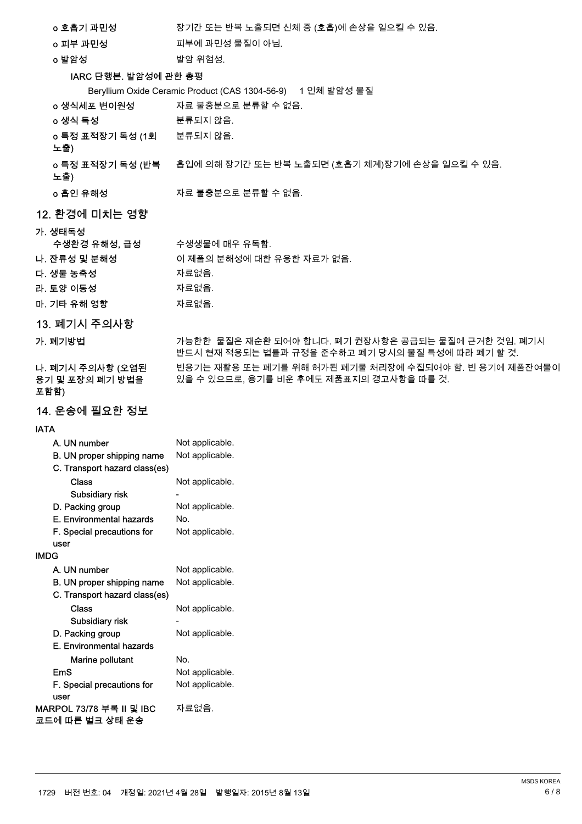| o 호흡기 과민성 | 장기간 또는 반복 노출되면 신체 중 (호흡)에 손상을 일으킬 수 있음. |
|-----------|-----------------------------------------|
| o 피부 과민성  | 피부에 과민성 물질이 아님.                         |

o 발암성 성공 - 1912년 12월 13일 - 1914년 1월 13일 - 1915년 1월 13일 - 1915년 1월 13일 - 1915년 1월 13일 - 1915년 1월 13일 - 1916년 1월 <br>대한민국의 대한민국의 대한민국의 대한민국의 대한민국의 대한민국의 대한민국의 대한민국의 대한민국의 대한민국의 대한민국의 대한민국의 대한민국의 대한민국의 대한민국의 대한민국의 대한민국의 대한민국의 대

# IARC 단행본. 발암성에 관한 총평

| IARC 단행본. 발암성에 관한 총평                        |                                                                                                          |
|---------------------------------------------|----------------------------------------------------------------------------------------------------------|
|                                             | Beryllium Oxide Ceramic Product (CAS 1304-56-9) 1 인체 발암성 물질                                              |
| o 생식세포 변이원성                                 | 자료 불충분으로 분류할 수 없음.                                                                                       |
| o 생식 독성                                     | 분류되지 않음.                                                                                                 |
| o 특정 표적장기 독성 (1회 분류되지 않음.<br>노출)            |                                                                                                          |
| 노출)                                         | o <b>특정 표적장기 독성 (반복</b> 흡입에 의해 장기간 또는 반복 노출되면 (호흡기 체계)장기에 손상을 일으킬 수 있음.                                  |
| o 흡인 유해성                                    | 자료 불충분으로 분류할 수 없음.                                                                                       |
| 12. 환경에 미치는 영향                              |                                                                                                          |
| 가. 생태독성<br>수생환경 유해성, 급성<br>나. 잔류성 및 분해성     | 수생생물에 매우 유독함.<br>이 제품의 분해성에 대한 유용한 자료가 없음.                                                               |
| 다. 생물 농축성                                   | 자료없음.                                                                                                    |
| 라. 토양 이동성                                   | 자료없음.                                                                                                    |
| 마. 기타 유해 영향                                 | 자료없음.                                                                                                    |
| 13. 폐기시 주의사항                                |                                                                                                          |
| 가. 폐기방법                                     | 가능한한_물질은 재순환 되어야 합니다. 폐기 권장사항은 공급되는 물질에 근거한 것임. 폐기시<br>반드시 현재 적용되는 법률과 규정을 준수하고 폐기 당시의 물질 특성에 따라 폐기 할 것. |
| 나. 폐기시 주의사항 (오염된<br>용기 및 포장의 폐기 방법을<br>포함함) | 빈용기는 재활용 또는 폐기를 위해 허가된 폐기물 처리장에 수집되어야 함. 빈 용기에 제품잔여물이<br>있을 수 있으므로, 용기를 비운 후에도 제품표지의 경고사항을 따를 것.         |
| 14. 운송에 필요한 정보                              |                                                                                                          |
| <b>IATA</b>                                 |                                                                                                          |
| A IIN number                                | . Not annlicable                                                                                         |

| A. UN number                  | Not applicable. |
|-------------------------------|-----------------|
| B. UN proper shipping name    | Not applicable. |
| C. Transport hazard class(es) |                 |
| Class                         | Not applicable. |
| Subsidiary risk               |                 |
| D. Packing group              | Not applicable. |
| E. Environmental hazards      | No.             |
| F. Special precautions for    | Not applicable. |
| user                          |                 |
| IMDG                          |                 |
| A. UN number                  | Not applicable. |
| B. UN proper shipping name    | Not applicable. |
| C. Transport hazard class(es) |                 |
| Class                         | Not applicable. |
| Subsidiary risk               |                 |
| D. Packing group              | Not applicable. |
| E. Environmental hazards      |                 |
| Marine pollutant              | No.             |
| EmS                           | Not applicable. |
| F. Special precautions for    | Not applicable. |
| user                          |                 |
| MARPOL 73/78 부록 II 및 IBC      | 자료없음.           |
| 코드에 따른 벌크 상태 운송               |                 |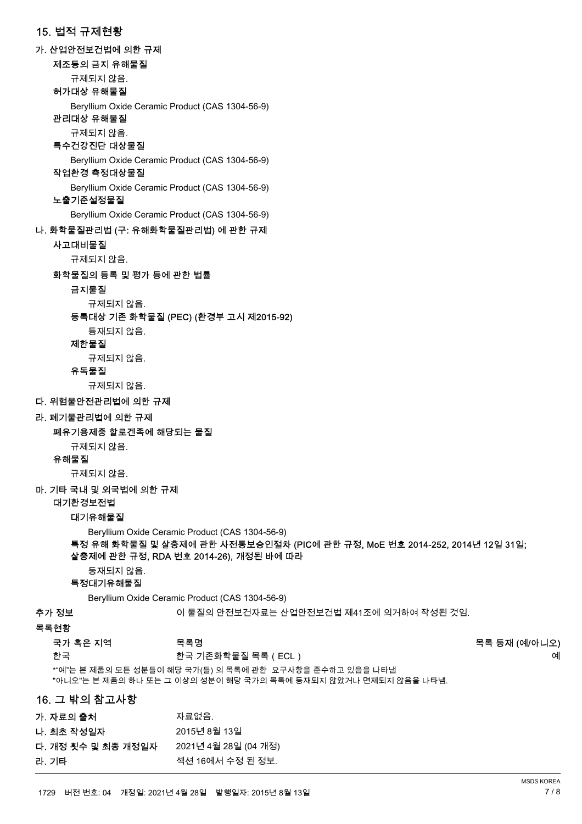# 15. 번적 규제현황 가. 산업안전보건법에 의한 규제 제조등의 금지 유해물질 규제되지 않음. 허가대상 유해물질 Beryllium Oxide Ceramic Product (CAS 1304-56-9) 관리대상 유해물질 규제되지 않음. 특수건강진단 대상물질 Beryllium Oxide Ceramic Product (CAS 1304-56-9) 작업환경 측정대상물질 Beryllium Oxide Ceramic Product (CAS 1304-56-9) 노출기준설정물질 Beryllium Oxide Ceramic Product (CAS 1304-56-9) 나. 화학물질관리법 (구: 유해화학물질관리법) 에 관한 규제 사고대비물질 규제되지 않음. 화학물질의 등록 및 평가 등에 관한 법률 금지물질 규제되지 않음. 등록대상 기존 화학물질 (PEC) (환경부 고시 제2015-92) 등재되지 않음. 제한물질 규제되지 않음. 유독물질 규제되지 않음. 다. 위험물안전관리법에 의한 규제 라. 폐기물관리법에 의한 규제 폐유기용제중 할로겐족에 해당되는 물질 규제되지 않음. 유해물질 규제되지 않음. 마. 기타 국내 및 외국번에 의한 규제 대기환경보전법

대기유해물질

Beryllium Oxide Ceramic Product (CAS 1304-56-9)

#### 특정 유해 화학물질 및 살충제에 관한 사전통보승인절차 (PIC에 관한 규정, MoE 번호 2014-252, 2014년 12일 31일; 살충제에 관한 규정, RDA 번호 2014-26), 개정된 바에 따라

등재되지 않음.

## 특정대기유해물질

Beryllium Oxide Ceramic Product (CAS 1304-56-9)

추가 정보 소리 정보 아이 물질의 안전보건자료는 산업안전보건법 제41조에 의거하여 작성된 것임.

#### 목록현황

| 국가 혹은 지역 | 목록명               | 목록 등재 (예/아니오) |
|----------|-------------------|---------------|
| 한국       | 한국 기존화학물질 목록(ECL) | 예             |

\*"예"는 본 제품의 모든 성분들이 해당 국가(들) 의 목록에 관한 요구사항을 준수하고 있음을 나타냄 "아니오"는 본 제품의 하나 또는 그 이상의 성분이 해당 국가의 목록에 등재되지 않았거나 면제되지 않음을 나타냄.

### 16. 그 밖의 참고사항

| 자료없음.                |
|----------------------|
| 2015년 8월 13일         |
| 2021년 4월 28일 (04 개정) |
| 섹션 16에서 수정 된 정보.     |
|                      |